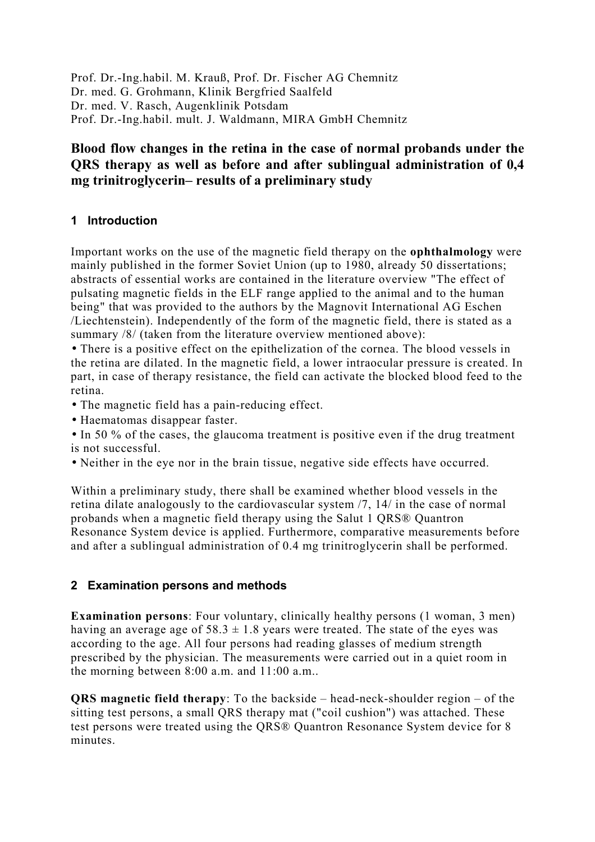Prof. Dr.-Ing.habil. M. Krauß, Prof. Dr. Fischer AG Chemnitz Dr. med. G. Grohmann, Klinik Bergfried Saalfeld Dr. med. V. Rasch, Augenklinik Potsdam Prof. Dr.-Ing.habil. mult. J. Waldmann, MIRA GmbH Chemnitz

# **Blood flow changes in the retina in the case of normal probands under the QRS therapy as well as before and after sublingual administration of 0,4 mg trinitroglycerin– results of a preliminary study**

### **1 Introduction**

Important works on the use of the magnetic field therapy on the **ophthalmology** were mainly published in the former Soviet Union (up to 1980, already 50 dissertations; abstracts of essential works are contained in the literature overview "The effect of pulsating magnetic fields in the ELF range applied to the animal and to the human being" that was provided to the authors by the Magnovit International AG Eschen /Liechtenstein). Independently of the form of the magnetic field, there is stated as a summary /8/ (taken from the literature overview mentioned above):

• There is a positive effect on the epithelization of the cornea. The blood vessels in the retina are dilated. In the magnetic field, a lower intraocular pressure is created. In part, in case of therapy resistance, the field can activate the blocked blood feed to the retina.

• The magnetic field has a pain-reducing effect.

• Haematomas disappear faster.

• In 50 % of the cases, the glaucoma treatment is positive even if the drug treatment is not successful.

• Neither in the eye nor in the brain tissue, negative side effects have occurred.

Within a preliminary study, there shall be examined whether blood vessels in the retina dilate analogously to the cardiovascular system /7, 14/ in the case of normal probands when a magnetic field therapy using the Salut 1 QRS® Quantron Resonance System device is applied. Furthermore, comparative measurements before and after a sublingual administration of 0.4 mg trinitroglycerin shall be performed.

### **2 Examination persons and methods**

**Examination persons**: Four voluntary, clinically healthy persons (1 woman, 3 men) having an average age of  $58.3 \pm 1.8$  years were treated. The state of the eyes was according to the age. All four persons had reading glasses of medium strength prescribed by the physician. The measurements were carried out in a quiet room in the morning between 8:00 a.m. and 11:00 a.m..

**QRS magnetic field therapy**: To the backside – head-neck-shoulder region – of the sitting test persons, a small QRS therapy mat ("coil cushion") was attached. These test persons were treated using the QRS® Quantron Resonance System device for 8 minutes.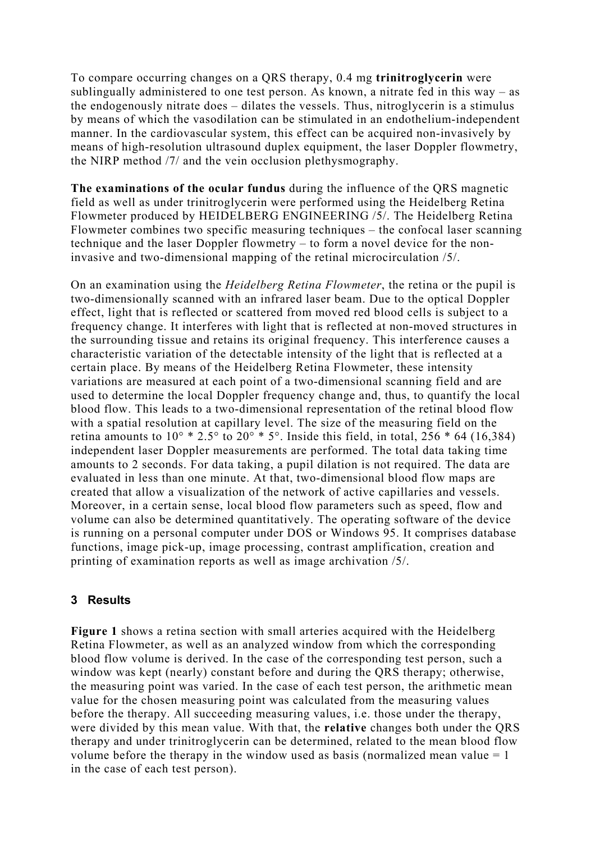To compare occurring changes on a QRS therapy, 0.4 mg **trinitroglycerin** were sublingually administered to one test person. As known, a nitrate fed in this way – as the endogenously nitrate does – dilates the vessels. Thus, nitroglycerin is a stimulus by means of which the vasodilation can be stimulated in an endothelium-independent manner. In the cardiovascular system, this effect can be acquired non-invasively by means of high-resolution ultrasound duplex equipment, the laser Doppler flowmetry, the NIRP method /7/ and the vein occlusion plethysmography.

**The examinations of the ocular fundus** during the influence of the QRS magnetic field as well as under trinitroglycerin were performed using the Heidelberg Retina Flowmeter produced by HEIDELBERG ENGINEERING /5/. The Heidelberg Retina Flowmeter combines two specific measuring techniques – the confocal laser scanning technique and the laser Doppler flowmetry – to form a novel device for the noninvasive and two-dimensional mapping of the retinal microcirculation /5/.

On an examination using the *Heidelberg Retina Flowmeter*, the retina or the pupil is two-dimensionally scanned with an infrared laser beam. Due to the optical Doppler effect, light that is reflected or scattered from moved red blood cells is subject to a frequency change. It interferes with light that is reflected at non-moved structures in the surrounding tissue and retains its original frequency. This interference causes a characteristic variation of the detectable intensity of the light that is reflected at a certain place. By means of the Heidelberg Retina Flowmeter, these intensity variations are measured at each point of a two-dimensional scanning field and are used to determine the local Doppler frequency change and, thus, to quantify the local blood flow. This leads to a two-dimensional representation of the retinal blood flow with a spatial resolution at capillary level. The size of the measuring field on the retina amounts to  $10^{\circ}$  \* 2.5° to  $20^{\circ}$  \* 5°. Inside this field, in total, 256 \* 64 (16,384) independent laser Doppler measurements are performed. The total data taking time amounts to 2 seconds. For data taking, a pupil dilation is not required. The data are evaluated in less than one minute. At that, two-dimensional blood flow maps are created that allow a visualization of the network of active capillaries and vessels. Moreover, in a certain sense, local blood flow parameters such as speed, flow and volume can also be determined quantitatively. The operating software of the device is running on a personal computer under DOS or Windows 95. It comprises database functions, image pick-up, image processing, contrast amplification, creation and printing of examination reports as well as image archivation /5/.

### **3 Results**

**Figure 1** shows a retina section with small arteries acquired with the Heidelberg Retina Flowmeter, as well as an analyzed window from which the corresponding blood flow volume is derived. In the case of the corresponding test person, such a window was kept (nearly) constant before and during the QRS therapy; otherwise, the measuring point was varied. In the case of each test person, the arithmetic mean value for the chosen measuring point was calculated from the measuring values before the therapy. All succeeding measuring values, i.e. those under the therapy, were divided by this mean value. With that, the **relative** changes both under the QRS therapy and under trinitroglycerin can be determined, related to the mean blood flow volume before the therapy in the window used as basis (normalized mean value  $= 1$ ) in the case of each test person).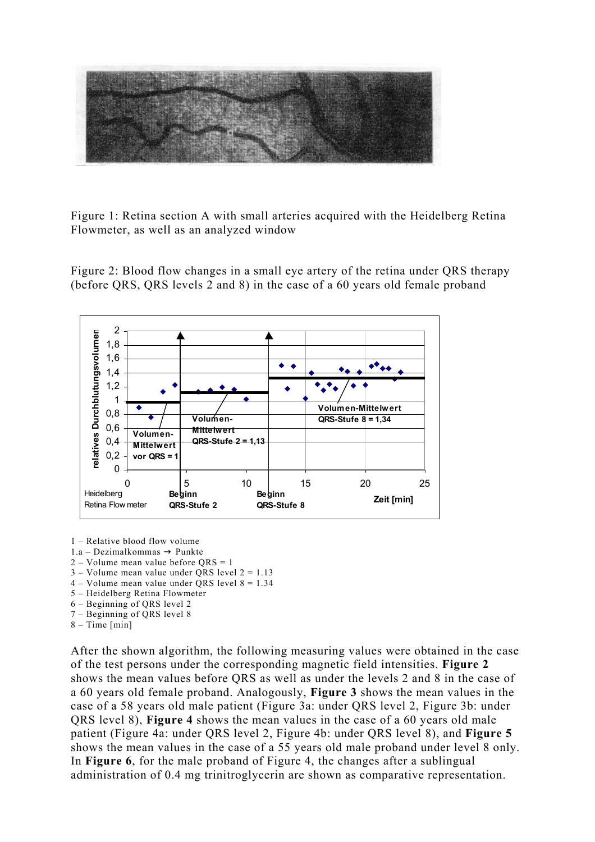

Figure 1: Retina section A with small arteries acquired with the Heidelberg Retina Flowmeter, as well as an analyzed window

Figure 2: Blood flow changes in a small eye artery of the retina under QRS therapy (before QRS, QRS levels 2 and 8) in the case of a 60 years old female proband



1 – Relative blood flow volume

- 1.a Dezimalkommas  $\rightarrow$  Punkte
- 2 Volume mean value before QRS = 1
- $3 -$  Volume mean value under ORS level  $2 = 1.13$
- $4 Volume$  mean value under ORS level  $8 = 1.34$
- 5 Heidelberg Retina Flowmeter
- 6 Beginning of QRS level 2
- 7 Beginning of QRS level 8
- $8 Time$  [min]

After the shown algorithm, the following measuring values were obtained in the case of the test persons under the corresponding magnetic field intensities. **Figure 2** shows the mean values before QRS as well as under the levels 2 and 8 in the case of a 60 years old female proband. Analogously, **Figure 3** shows the mean values in the case of a 58 years old male patient (Figure 3a: under QRS level 2, Figure 3b: under QRS level 8), **Figure 4** shows the mean values in the case of a 60 years old male patient (Figure 4a: under QRS level 2, Figure 4b: under QRS level 8), and **Figure 5** shows the mean values in the case of a 55 years old male proband under level 8 only. In **Figure 6**, for the male proband of Figure 4, the changes after a sublingual administration of 0.4 mg trinitroglycerin are shown as comparative representation.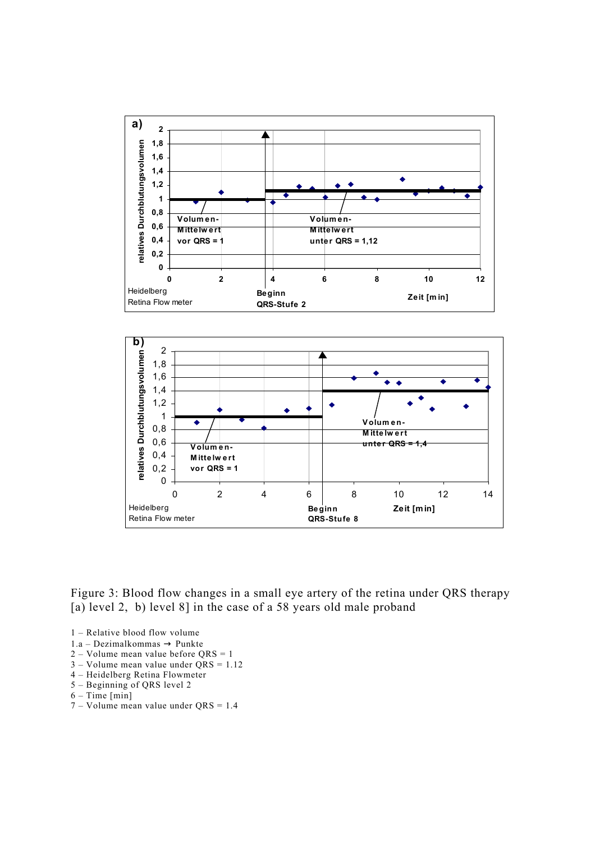

Figure 3: Blood flow changes in a small eye artery of the retina under QRS therapy [a) level 2, b) level 8] in the case of a 58 years old male proband

- 1 Relative blood flow volume
- 1.a Dezimalkommas  $\rightarrow$  Punkte
- $2 -$  Volume mean value before ORS = 1
- $3 -$  Volume mean value under  $\overline{QRS} = 1.12$
- 4 Heidelberg Retina Flowmeter
- 5 Beginning of QRS level 2
- $6 Time$  [min]
- 7 Volume mean value under QRS = 1.4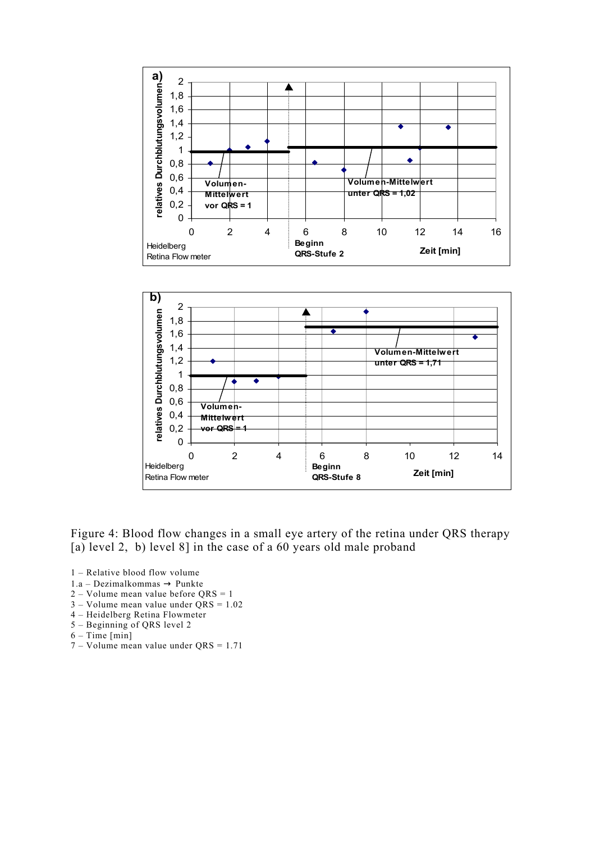

Figure 4: Blood flow changes in a small eye artery of the retina under QRS therapy [a) level 2, b) level 8] in the case of a 60 years old male proband

- 1 Relative blood flow volume
- 1.a Dezimalkommas  $\rightarrow$  Punkte
- 2 Volume mean value before QRS = 1
- 3 Volume mean value under QRS = 1.02
- 4 Heidelberg Retina Flowmeter
- 5 Beginning of QRS level 2
- $6 Time$  [min]
- 7 Volume mean value under QRS = 1.71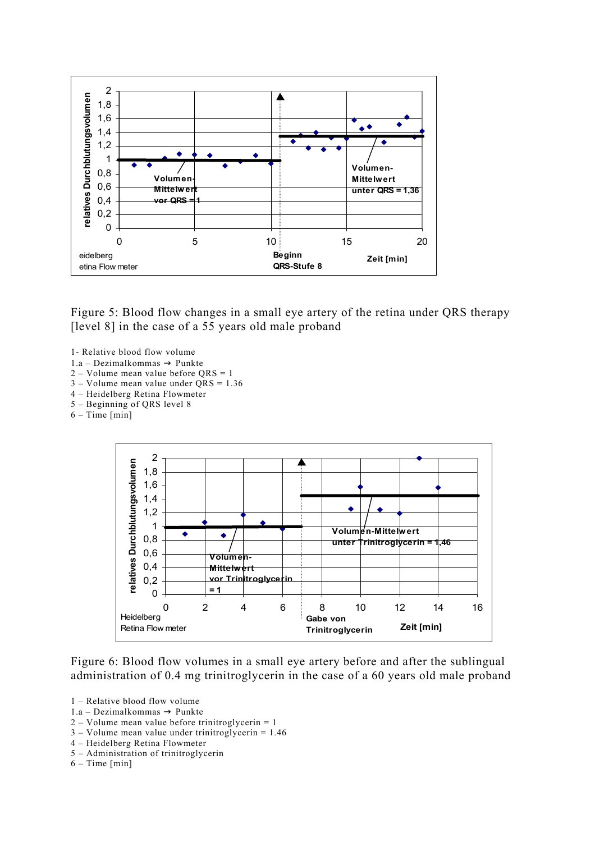

Figure 5: Blood flow changes in a small eye artery of the retina under QRS therapy [level 8] in the case of a 55 years old male proband]

- 1- Relative blood flow volume
- $1.a Dezimalkommas \rightarrow Punkte$
- $2 Volume$  mean value before  $ORS = 1$
- 3 Volume mean value under QRS = 1.36
- 4 Heidelberg Retina Flowmeter 5 – Beginning of QRS level 8
- 
- $6 Time$  [min]



Figure 6: Blood flow volumes in a small eye artery before and after the sublingual administration of 0.4 mg trinitroglycerin in the case of a 60 years old male proband

- 1 Relative blood flow volume
- 1.a Dezimalkommas  $\rightarrow$  Punkte
- $2 Volume$  mean value before trinitroglycerin = 1
- $3 Volume$  mean value under trinitroglycerin = 1.46
- 4 Heidelberg Retina Flowmeter
- 5 Administration of trinitroglycerin
- $6 Time [min]$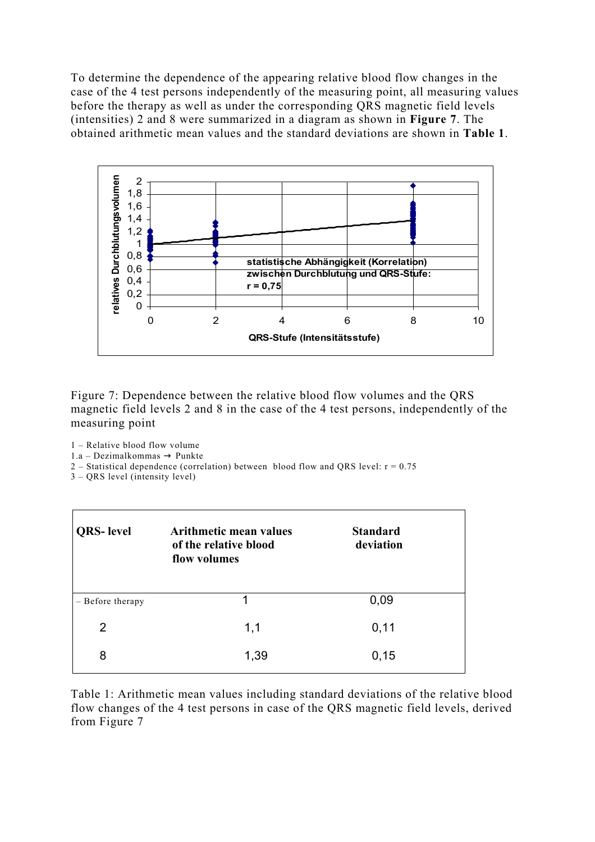To determine the dependence of the appearing relative blood flow changes in the case of the 4 test persons independently of the measuring point, all measuring values before the therapy as well as under the corresponding QRS magnetic field levels (intensities) 2 and 8 were summarized in a diagram as shown in **Figure 7**. The obtained arithmetic mean values and the standard deviations are shown in **Table 1**.



Figure 7: Dependence between the relative blood flow volumes and the QRS magnetic field levels 2 and 8 in the case of the 4 test persons, independently of the measuring point

1 – Relative blood flow volume

 $1.a - Dezimalkommas \rightarrow Punkte$ 

2 – Statistical dependence (correlation) between blood flow and QRS level:  $r = 0.75$ 

3 – QRS level (intensity level)

| <b>QRS-</b> level | <b>Arithmetic mean values</b><br>of the relative blood<br>flow volumes | <b>Standard</b><br>deviation |  |
|-------------------|------------------------------------------------------------------------|------------------------------|--|
| - Before therapy  | 1                                                                      | 0,09                         |  |
| 2                 | 1,1                                                                    | 0,11                         |  |
| 8                 | 1,39                                                                   | 0,15                         |  |

Table 1: Arithmetic mean values including standard deviations of the relative blood flow changes of the 4 test persons in case of the QRS magnetic field levels, derived from Figure 7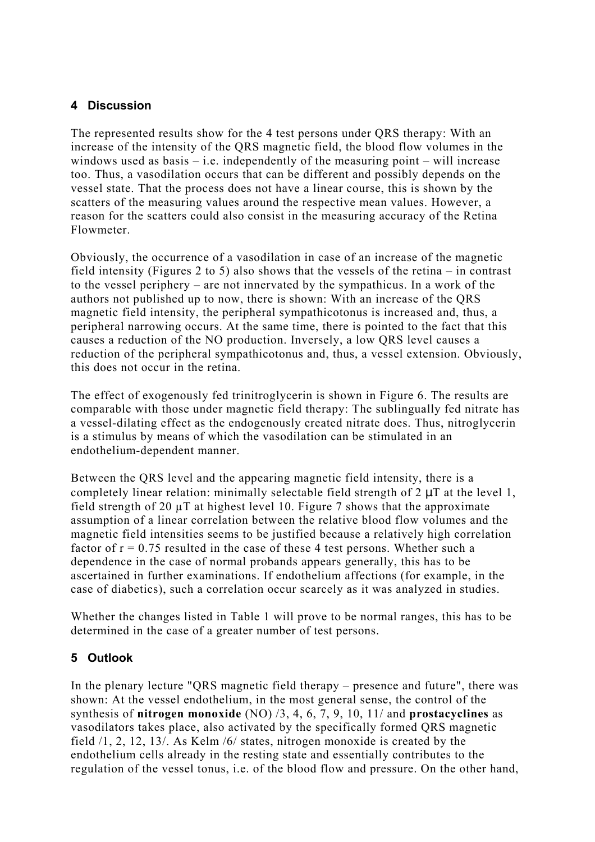## **4 Discussion**

The represented results show for the 4 test persons under QRS therapy: With an increase of the intensity of the QRS magnetic field, the blood flow volumes in the windows used as basis  $-$  i.e. independently of the measuring point  $-$  will increase too. Thus, a vasodilation occurs that can be different and possibly depends on the vessel state. That the process does not have a linear course, this is shown by the scatters of the measuring values around the respective mean values. However, a reason for the scatters could also consist in the measuring accuracy of the Retina Flowmeter.

Obviously, the occurrence of a vasodilation in case of an increase of the magnetic field intensity (Figures 2 to 5) also shows that the vessels of the retina – in contrast to the vessel periphery – are not innervated by the sympathicus. In a work of the authors not published up to now, there is shown: With an increase of the QRS magnetic field intensity, the peripheral sympathicotonus is increased and, thus, a peripheral narrowing occurs. At the same time, there is pointed to the fact that this causes a reduction of the NO production. Inversely, a low QRS level causes a reduction of the peripheral sympathicotonus and, thus, a vessel extension. Obviously, this does not occur in the retina.

The effect of exogenously fed trinitroglycerin is shown in Figure 6. The results are comparable with those under magnetic field therapy: The sublingually fed nitrate has a vessel-dilating effect as the endogenously created nitrate does. Thus, nitroglycerin is a stimulus by means of which the vasodilation can be stimulated in an endothelium-dependent manner.

Between the QRS level and the appearing magnetic field intensity, there is a completely linear relation: minimally selectable field strength of  $2 \mu T$  at the level 1, field strength of 20 µT at highest level 10. Figure 7 shows that the approximate assumption of a linear correlation between the relative blood flow volumes and the magnetic field intensities seems to be justified because a relatively high correlation factor of  $r = 0.75$  resulted in the case of these 4 test persons. Whether such a dependence in the case of normal probands appears generally, this has to be ascertained in further examinations. If endothelium affections (for example, in the case of diabetics), such a correlation occur scarcely as it was analyzed in studies.

Whether the changes listed in Table 1 will prove to be normal ranges, this has to be determined in the case of a greater number of test persons.

### **5 Outlook**

In the plenary lecture "QRS magnetic field therapy – presence and future", there was shown: At the vessel endothelium, in the most general sense, the control of the synthesis of **nitrogen monoxide** (NO) /3, 4, 6, 7, 9, 10, 11/ and **prostacyclines** as vasodilators takes place, also activated by the specifically formed QRS magnetic field /1, 2, 12, 13/. As Kelm /6/ states, nitrogen monoxide is created by the endothelium cells already in the resting state and essentially contributes to the regulation of the vessel tonus, i.e. of the blood flow and pressure. On the other hand,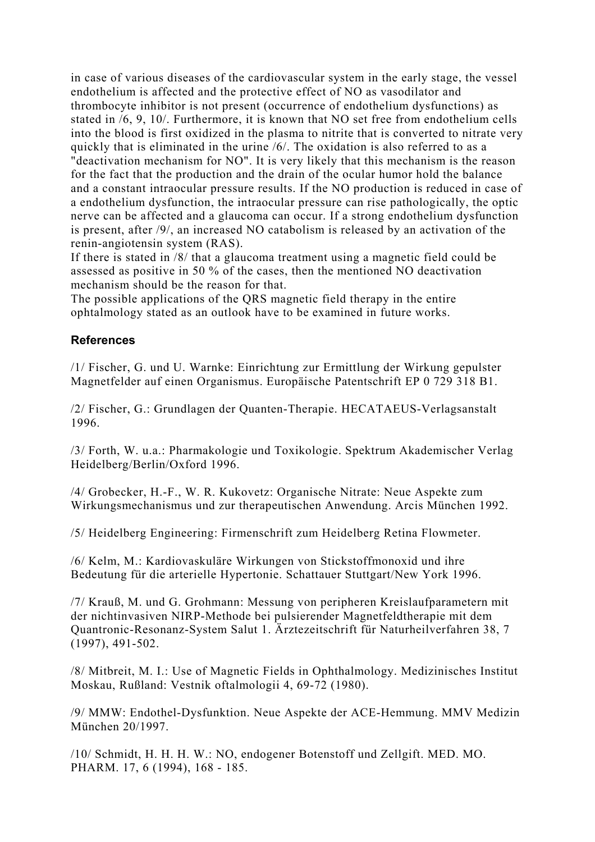in case of various diseases of the cardiovascular system in the early stage, the vessel endothelium is affected and the protective effect of NO as vasodilator and thrombocyte inhibitor is not present (occurrence of endothelium dysfunctions) as stated in /6, 9, 10/. Furthermore, it is known that NO set free from endothelium cells into the blood is first oxidized in the plasma to nitrite that is converted to nitrate very quickly that is eliminated in the urine /6/. The oxidation is also referred to as a "deactivation mechanism for NO". It is very likely that this mechanism is the reason for the fact that the production and the drain of the ocular humor hold the balance and a constant intraocular pressure results. If the NO production is reduced in case of a endothelium dysfunction, the intraocular pressure can rise pathologically, the optic nerve can be affected and a glaucoma can occur. If a strong endothelium dysfunction is present, after /9/, an increased NO catabolism is released by an activation of the renin-angiotensin system (RAS).

If there is stated in /8/ that a glaucoma treatment using a magnetic field could be assessed as positive in 50 % of the cases, then the mentioned NO deactivation mechanism should be the reason for that.

The possible applications of the QRS magnetic field therapy in the entire ophtalmology stated as an outlook have to be examined in future works.

#### **References**

/1/ Fischer, G. und U. Warnke: Einrichtung zur Ermittlung der Wirkung gepulster Magnetfelder auf einen Organismus. Europäische Patentschrift EP 0 729 318 B1.

/2/ Fischer, G.: Grundlagen der Quanten-Therapie. HECATAEUS-Verlagsanstalt 1996.

/3/ Forth, W. u.a.: Pharmakologie und Toxikologie. Spektrum Akademischer Verlag Heidelberg/Berlin/Oxford 1996.

/4/ Grobecker, H.-F., W. R. Kukovetz: Organische Nitrate: Neue Aspekte zum Wirkungsmechanismus und zur therapeutischen Anwendung. Arcis München 1992.

/5/ Heidelberg Engineering: Firmenschrift zum Heidelberg Retina Flowmeter.

/6/ Kelm, M.: Kardiovaskuläre Wirkungen von Stickstoffmonoxid und ihre Bedeutung für die arterielle Hypertonie. Schattauer Stuttgart/New York 1996.

/7/ Krauß, M. und G. Grohmann: Messung von peripheren Kreislaufparametern mit der nichtinvasiven NIRP-Methode bei pulsierender Magnetfeldtherapie mit dem Quantronic-Resonanz-System Salut 1. Ärztezeitschrift für Naturheilverfahren 38, 7 (1997), 491-502.

/8/ Mitbreit, M. I.: Use of Magnetic Fields in Ophthalmology. Medizinisches Institut Moskau, Rußland: Vestnik oftalmologii 4, 69-72 (1980).

/9/ MMW: Endothel-Dysfunktion. Neue Aspekte der ACE-Hemmung. MMV Medizin München 20/1997.

/10/ Schmidt, H. H. H. W.: NO, endogener Botenstoff und Zellgift. MED. MO. PHARM. 17, 6 (1994), 168 - 185.